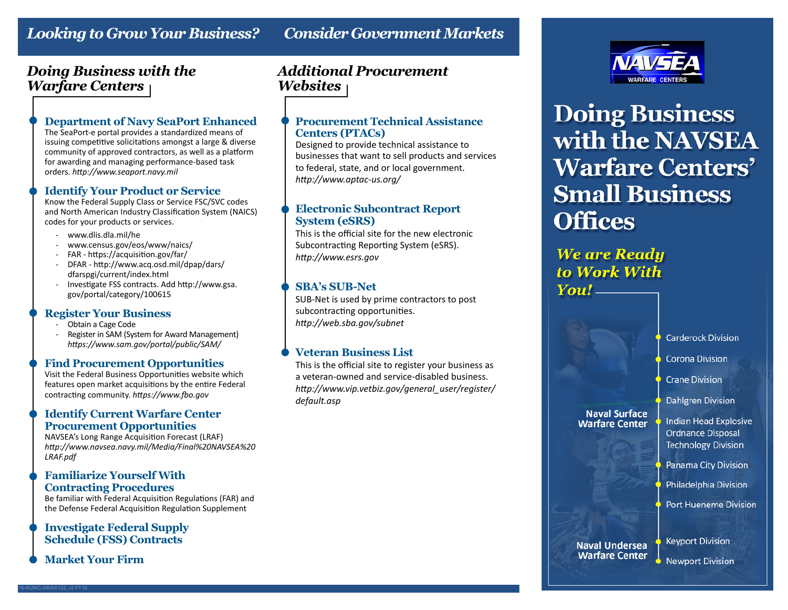# *Looking to Grow Your Business? Consider Government Markets*

## *Doing Business with the Warfare Centers*

#### **Department of Navy SeaPort Enhanced**

The SeaPort-e portal provides a standardized means of issuing competitive solicitations amongst a large & diverse community of approved contractors, as well as a platform for awarding and managing performance-based task orders. *http://www.seaport.navy.mil*

#### **Identify Your Product or Service**

Know the Federal Supply Class or Service FSC/SVC codes and North American Industry Classification System (NAICS) codes for your products or services.

- www.dlis.dla.mil/he
- www.census.gov/eos/www/naics/
- FAR https://acquisition.gov/far/
- DFAR http://www.acq.osd.mil/dpap/dars/ dfarspgi/current/index.html
- Investigate FSS contracts. Add http://www.gsa. gov/portal/category/100615

#### **Register Your Business**

- Obtain a Cage Code
- Register in SAM (System for Award Management)  *https://www.sam.gov/portal/public/SAM/*

#### **Find Procurement Opportunities**

Visit the Federal Business Opportunities website which features open market acquisitions by the entire Federal contracting community. *https://www.fbo.gov*

#### **Identify Current Warfare Center Procurement Opportunities**

NAVSEA's Long Range Acquisition Forecast (LRAF) *http://www.navsea.navy.mil/Media/Final%20NAVSEA%20 LRAF.pdf*

#### **Familiarize Yourself With Contracting Procedures**

Be familiar with Federal Acquisition Regulations (FAR) and the Defense Federal Acquisition Regulation Supplement

#### **Investigate Federal Supply Schedule (FSS) Contracts**

**Market Your Firm**

16-NUWC-GRA/0122\_v2 FY16

## *Additional Procurement Websites*

#### **Procurement Technical Assistance Centers (PTACs)**

Designed to provide technical assistance to businesses that want to sell products and services to federal, state, and or local government. *http://www.aptac-us.org/*

#### **Electronic Subcontract Report System (eSRS)**

This is the official site for the new electronic Subcontracting Reporting System (eSRS). *http://www.esrs.gov*

#### **SBA's SUB-Net**

SUB-Net is used by prime contractors to post subcontracting opportunities. *http://web.sba.gov/subnet*

### **Veteran Business List**

This is the official site to register your business as a veteran-owned and service-disabled business. *http://www.vip.vetbiz.gov/general\_user/register/ default.asp*



# **Doing Business** with the NAVSEA **Warfare Centers' Small Business Offices**

# **We are Ready** to Work With  $You!$

**Carderock Division** 

**Corona Division** 

**Crane Division** 

**Dahlgren Division** 

#### **Naval Surface Warfare Center**

**Indian Head Explosive Ordnance Disposal Technology Division** 

**Panama City Division** 

Philadelphia Division

**Port Hueneme Division** 

#### **Naval Undersea Warfare Center**

**Keyport Division Newport Division**